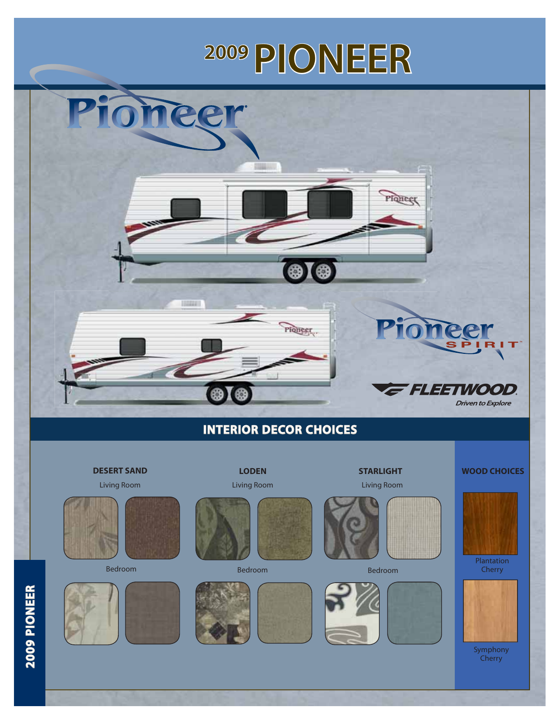# **2009 PIONEER**



**Contract Contract Contract Contract**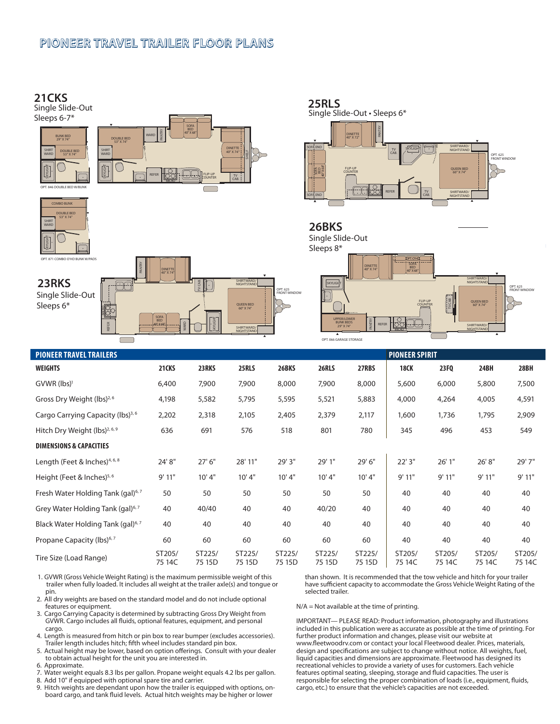#### **PIONEER TRAVEL TRAILER FLOOR PLANS**



| 25RLS<br>Single Slide-Out · Sleeps 6*                                                         |                                                                                       |
|-----------------------------------------------------------------------------------------------|---------------------------------------------------------------------------------------|
| PANTRY<br><b>DINETTE</b><br>40" X 72"<br>$\overline{r}$<br><b>SOFA END</b><br><b>SKYLIGHT</b> | v<br>SHIRTWARD/                                                                       |
| TV<br>CAB.<br>BED<br>40"X 68"<br><b>FLIP-UP</b><br>诱<br><b>COUNTER</b>                        | <b>NIGHTSTAND</b><br>OPT. 625<br><b>FRONT WINDOW</b><br><b>OUEEN BED</b><br>60" X 74" |
| TV<br><b>REFER</b><br>CAB.<br><b>SOFA END</b><br>▲                                            | SHIRTWARD/<br><b>NIGHTSTAND</b><br>▲                                                  |



| <b>PIONEER TRAVEL TRAILERS</b>                |                  |                  |                  |                  |                  | <b>PIONEER SPIRIT</b> |                  |                  |                  |                  |
|-----------------------------------------------|------------------|------------------|------------------|------------------|------------------|-----------------------|------------------|------------------|------------------|------------------|
| <b>WEIGHTS</b>                                | 21CKS            | 23RKS            | 25RLS            | 26BKS            | 26RLS            | 27RBS                 | <b>18CK</b>      | 23FQ             | 24BH             | 28BH             |
| $GVWR$ (lbs) <sup>1</sup>                     | 6,400            | 7,900            | 7,900            | 8,000            | 7,900            | 8,000                 | 5,600            | 6,000            | 5,800            | 7,500            |
| Gross Dry Weight (lbs) <sup>2,6</sup>         | 4,198            | 5,582            | 5,795            | 5,595            | 5,521            | 5,883                 | 4,000            | 4,264            | 4,005            | 4,591            |
| Cargo Carrying Capacity (lbs) <sup>3,6</sup>  | 2,202            | 2,318            | 2,105            | 2,405            | 2,379            | 2,117                 | 1,600            | 1,736            | 1,795            | 2,909            |
| Hitch Dry Weight (lbs) <sup>2, 6, 9</sup>     | 636              | 691              | 576              | 518              | 801              | 780                   | 345              | 496              | 453              | 549              |
| <b>DIMENSIONS &amp; CAPACITIES</b>            |                  |                  |                  |                  |                  |                       |                  |                  |                  |                  |
| Length (Feet & Inches) <sup>4, 6, 8</sup>     | 24' 8"           | 27' 6"           | 28' 11"          | 29' 3"           | 29' 1"           | 29' 6"                | 22' 3"           | 26'1"            | 26' 8"           | 29'7"            |
| Height (Feet & Inches) $5,6$                  | 9'11"            | 10' 4"           | 10'4"            | 10'4"            | 10'4"            | 10'4"                 | 9'11"            | 9'11"            | 9'11"            | 9'11"            |
| Fresh Water Holding Tank (gal) <sup>6,7</sup> | 50               | 50               | 50               | 50               | 50               | 50                    | 40               | 40               | 40               | 40               |
| Grey Water Holding Tank (gal) <sup>6,7</sup>  | 40               | 40/40            | 40               | 40               | 40/20            | 40                    | 40               | 40               | 40               | 40               |
| Black Water Holding Tank (gal) <sup>6,7</sup> | 40               | 40               | 40               | 40               | 40               | 40                    | 40               | 40               | 40               | 40               |
| Propane Capacity (lbs) <sup>6,7</sup>         | 60               | 60               | 60               | 60               | 60               | 60                    | 40               | 40               | 40               | 40               |
| Tire Size (Load Range)                        | ST205/<br>75 14C | ST225/<br>75 15D | ST225/<br>75 15D | ST225/<br>75 15D | ST225/<br>75 15D | ST225/<br>75 15D      | ST205/<br>75 14C | ST205/<br>75 14C | ST205/<br>75 14C | ST205/<br>75 14C |

- 1. GVWR (Gross Vehicle Weight Rating) is the maximum permissible weight of this trailer when fully loaded. It includes all weight at the trailer axle(s) and tongue or pin.
- 2. All dry weights are based on the standard model and do not include optional features or equipment.
- 3. Cargo Carrying Capacity is determined by subtracting Gross Dry Weight from GVWR. Cargo includes all fluids, optional features, equipment, and personal cargo.
- 4. Length is measured from hitch or pin box to rear bumper (excludes accessories). Trailer length includes hitch; fifth wheel includes standard pin box.
- 5. Actual height may be lower, based on option offerings. Consult with your dealer to obtain actual height for the unit you are interested in.
- 6. Approximate.
- 7. Water weight equals 8.3 lbs per gallon. Propane weight equals 4.2 lbs per gallon.
- 8. Add 10" if equipped with optional spare tire and carrier.<br>9. Hitch weights are dependant upon how the trailer is equ
- Hitch weights are dependant upon how the trailer is equipped with options, onboard cargo, and tank fluid levels. Actual hitch weights may be higher or lower

than shown. It is recommended that the tow vehicle and hitch for your trailer have sufficient capacity to accommodate the Gross Vehicle Weight Rating of the selected trailer.

N/A = Not available at the time of printing.

IMPORTANT— PLEASE READ: Product information, photography and illustrations included in this publication were as accurate as possible at the time of printing. For further product information and changes, please visit our website at www.fleetwoodrv.com or contact your local Fleetwood dealer. Prices, materials, design and specifications are subject to change without notice. All weights, fuel, liquid capacities and dimensions are approximate. Fleetwood has designed its recreational vehicles to provide a variety of uses for customers. Each vehicle features optimal seating, sleeping, storage and fluid capacities. The user is responsible for selecting the proper combination of loads (i.e., equipment, fluids, cargo, etc.) to ensure that the vehicle's capacities are not exceeded.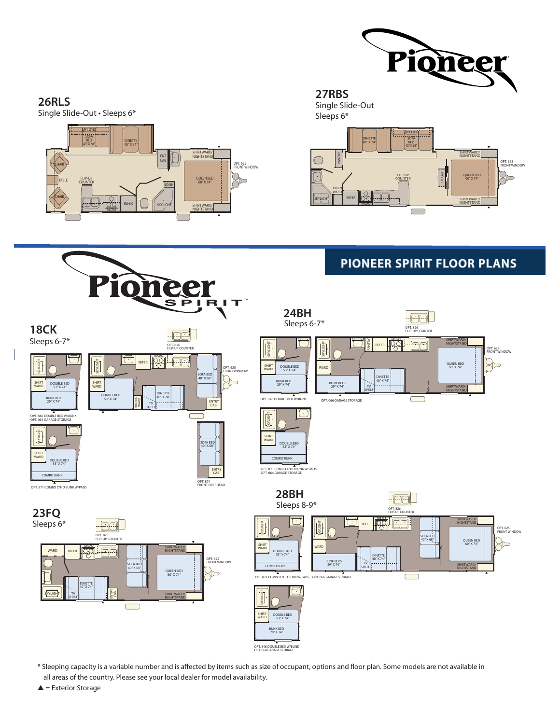

#### **26RLS**

Single Slide-Out • Sleeps 6\*



#### Single Slide-Out **27RBS**

Sleeps 6\*



### **PIONEER SPIRIT FLOOR PLANS**



\* Sleeping capacity is a variable number and is affected by items such as size of occupant, options and floor plan. Some models are not available in all areas of the country. Please see your local dealer for model availability.

 $\triangle$  = Exterior Storage